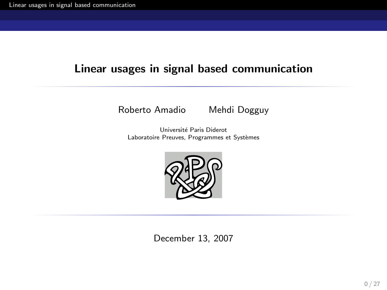#### Linear usages in signal based communication

Roberto Amadio Mehdi Dogguy

Universit´e Paris Diderot Laboratoire Preuves, Programmes et Systèmes



<span id="page-0-0"></span>December 13, 2007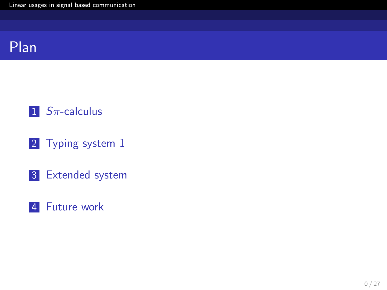



- 2 [Typing system 1](#page-11-0)
- 3 [Extended system](#page-26-0)

#### 4 [Future work](#page-36-0)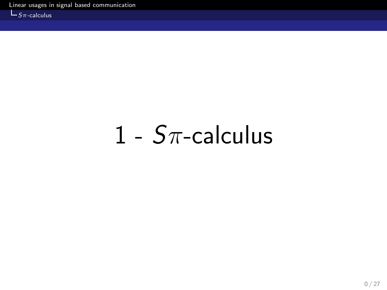$L_{S_{\pi}$-calculus}$ 

## <span id="page-2-0"></span>1 -  $S\pi$ -calculus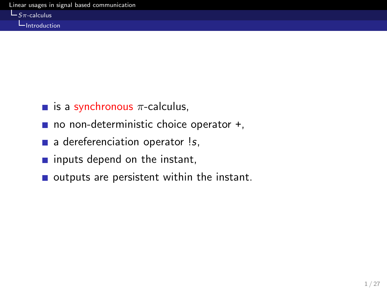$L_{S_{\pi}\text{-calculus}}$ 

Introduction

- is a synchronous  $\pi$ -calculus,
- $\blacksquare$  no non-deterministic choice operator  $+$ ,
- $\blacksquare$  a dereferenciation operator !s,
- $\blacksquare$  inputs depend on the instant,
- $\blacksquare$  outputs are persistent within the instant.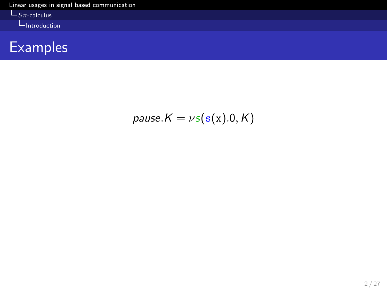[Linear usages in signal based communication](#page-0-0)

 $L_{S\pi\text{-calculus}}$ 

**I**ntroduction



$$
pause.K = \nu s(s(x).0, K)
$$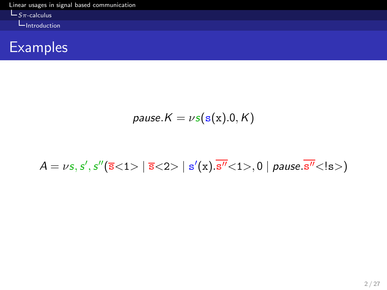[Linear usages in signal based communication](#page-0-0)  $L_{S\pi\text{-calculus}}$ 

**L**Introduction



$$
pause.K = \nu s(s(x).0, K)
$$

$$
A = \nu s, s', s''(\overline{s} < 1> | \overline{s} < 2> | s'(x). \overline{s''} < 1>, 0 | \text{ pause.} \overline{s''} < 1 s)
$$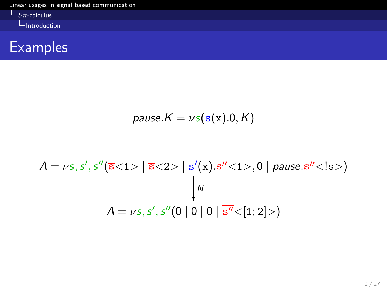[Linear usages in signal based communication](#page-0-0)  $L_{S\pi\text{-calculus}}$ 

**L**Introduction



$$
pause.K = \nu s(s(x).0, K)
$$

A = νs,s ′ ,s ′′(s<1> | s<2> | s ′ (x).s ′′<1>, 0 | pause.s ′′<!s>) N A = νs,s ′ ,s ′′(0 | 0 | 0 | s ′′<[1; 2]>)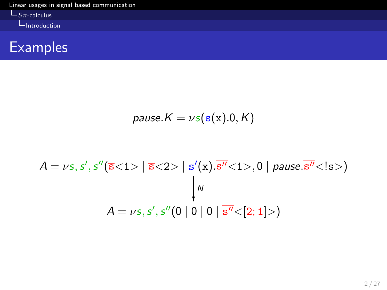[Linear usages in signal based communication](#page-0-0)  $L_{S\pi\text{-calculus}}$ 

**L**Introduction



$$
pause.K = \nu s(s(x).0, K)
$$

A = νs,s ′ ,s ′′(s<1> | s<2> | s ′ (x).s ′′<1>, 0 | pause.s ′′<!s>) N A = νs,s ′ ,s ′′(0 | 0 | 0 | s ′′<[2; 1]>)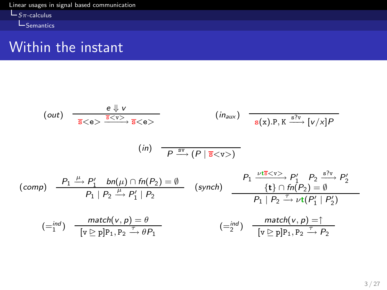[Linear usages in signal based communication](#page-0-0)  $L_{S_{\pi\text{-}calculus}}$  $L_{\text{Semantics}}$ 

#### Within the instant

$$
(out) \frac{e \Downarrow v}{\overline{s} < e>} \xrightarrow{\overline{s} < v>} \overline{s} < e>}(in_{aux}) \frac{\overline{(in_{aux})} \quad \overline{\underbrace{\overline{s} \vee v} \quad [v/x]P}}{s(x).P, K \xrightarrow{\overline{s} \vee v} [v/x]P}
$$
\n
$$
(in) \frac{P_1 \xrightarrow{\mu} P_1' \quad bn(\mu) \cap fn(P_2) = \emptyset}{P_1 | P_2 \xrightarrow{\mu} P_1' | P_2} \qquad (synch) \frac{P_1 \xrightarrow{\nu \overline{s} < v>} P_1' \quad P_2 \xrightarrow{\overline{s} \vee v} P_2'}{P_1 | P_2 \xrightarrow{\overline{\mu} \vee \overline{v} \wedge \nu} \nu \Gamma(P_1' | P_2')}
$$
\n
$$
:= (i n d) \frac{match(v, p) = \emptyset}{[v \ge p]P_1, P_2 \xrightarrow{\overline{\mu} \vee \overline{v} \wedge \nu} \rho_1} \qquad (-i p d) \frac{match(v, p) = \uparrow}{[v \ge p]P_1, P_2 \xrightarrow{\overline{\mu} \vee \overline{v} \wedge \nu} \rho_2}
$$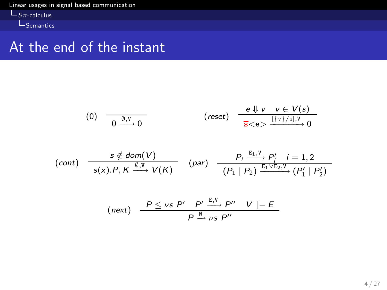[Linear usages in signal based communication](#page-0-0)  $L_{S_{\pi\text{-}calculus}}$ 

**L**<br>Semantics

#### At the end of the instant

$$
(0) \quad \frac{\theta \downarrow v \quad v \in V(s)}{0 \xrightarrow{0} 0} \qquad \qquad \text{(reset)} \quad \frac{e \downarrow v \quad v \in V(s)}{\overline{s} < e > \frac{[\{v\}/s], v}{\overline{s} < 0} \to 0}
$$

$$
(cont) \quad \frac{s \notin dom(V)}{s(x).P, K \xrightarrow{0, V} V(K)} \quad (par) \quad \frac{P_i \xrightarrow{E_1, V} P_i'}{(P_1 | P_2) \xrightarrow{E_1 \vee E_2, V} (P_1' | P_2')}
$$

$$
\text{(next)} \quad \frac{P \leq \nu s \ P' \quad P' \stackrel{E,V}{\longrightarrow} P'' \quad V \parallel\!\!\mid\!\!\mid E}{P \stackrel{N}{\longrightarrow} \nu s \ P''}
$$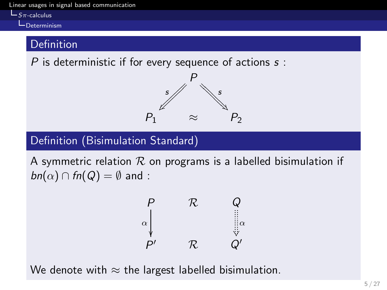[Linear usages in signal based communication](#page-0-0)

#### $L_{S_{\pi\text{-calculus}}}$

Determinism

#### **Definition**

P is deterministic if for every sequence of actions  $s$ :



#### Definition (Bisimulation Standard)

A symmetric relation  $R$  on programs is a labelled bisimulation if  $bn(\alpha) \cap fn(Q) = \emptyset$  and :

$$
\begin{array}{ccc}\nP & \mathcal{R} & Q \\
\alpha & \beta & \beta \\
P' & \mathcal{R} & Q'\n\end{array}
$$

We denote with  $\approx$  the largest labelled bisimulation.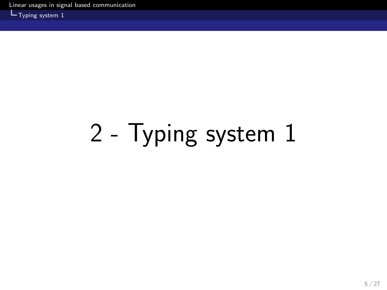[Linear usages in signal based communication](#page-0-0)

 $L_{\text{Typing system 1}}$ 

# <span id="page-11-0"></span>2 - Typing system 1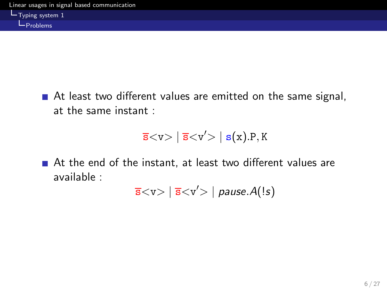At least two different values are emitted on the same signal, at the same instant :

$$
\overline{s}{<}v{>} \mid \overline{s}{<}v'{>} \mid s(x).P,K
$$

■ At the end of the instant, at least two different values are available :

 $\overline{s}$ < $v$ > $|$   $\overline{s}$ < $v'$ > $|$   $\overline{p}$ ause. $A(!s)$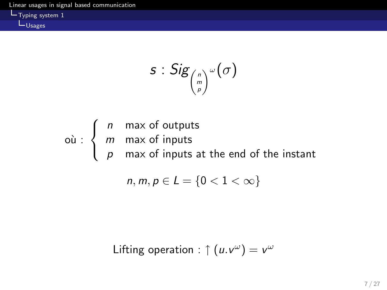Typing system 1 LU<sub>Sages</sub>

$$
s: Sig_{\binom{n}{p}^{\omega}}(\sigma)
$$

où :  $\sqrt{ }$  $\overline{\mathcal{L}}$  $\mathcal{L}$ n max of outputs m max of inputs  $\rho$   $\,$  max of inputs at the end of the instant

$$
n,m,p\in L=\{0<1<\infty\}
$$

Lifting operation : 
$$
↑ (u.v^ω) = v^ω
$$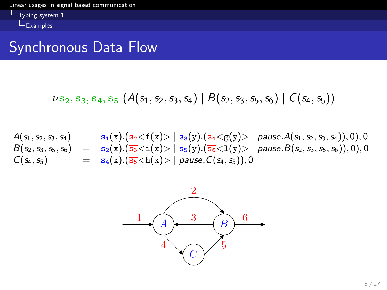[Linear usages in signal based communication](#page-0-0) Typing system 1  $E$ xamples

#### Synchronous Data Flow

$$
\nu s_2, s_3, s_4, s_5 \ (A(s_1, s_2, s_3, s_4) \mid B(s_2, s_3, s_5, s_6) \mid C(s_4, s_5))
$$

 $A(s_1, s_2, s_3, s_4) = s_1(x).(\overline{s_2} < f(x) > | s_3(y).(\overline{s_4} < g(y) > | \text{ pause}.A(s_1, s_2, s_3, s_4)), 0), 0$  $B(s_2,s_3,s_5,s_6) = {\rm s}_2({\rm x}).({\overline{{\rm s}_3}} {<} {\rm i}({\rm x}) {>} \mid {\rm s}_5({\rm y}).({\overline{{\rm s}_6}} {<} 1({\rm y}) {>} \mid$  pause. $B(s_2,s_3,s_5,s_6)),0),0$  $C(s_4, s_5)$  =  $s_4(x).(\overline{s_5} < h(x)) > |$  pause.  $C(s_4, s_5)$ , 0

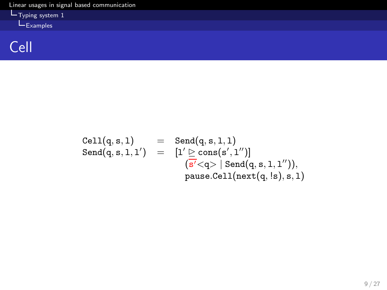[Linear usages in signal based communication](#page-0-0) Typing system 1 Examples



$$
\begin{array}{lcl} \texttt{Cell}(q,s,1) & = & \texttt{Send}(q,s,1,1) \\ \texttt{Send}(q,s,1,1') & = & \left[1' \unrhd \texttt{cons}(s',1'')\right] \\ & & \left(\overline{s'}{<}q{>} \mid \texttt{Send}(q,s,1,1'')\right), \\ & & \texttt{pause.Cell}(\texttt{next}(q,!s),s,1) \end{array}
$$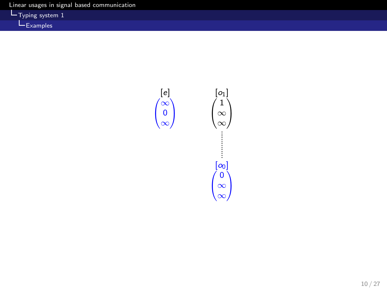Typing system 1 Examples

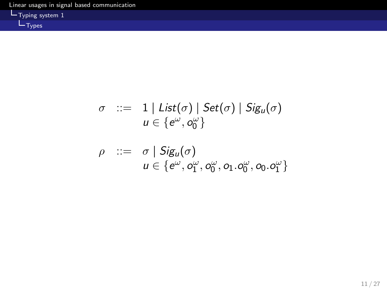

$$
\sigma \quad ::= \quad 1 \mid List(\sigma) \mid Set(\sigma) \mid Sig_u(\sigma) \n u \in \{e^{\omega}, o_0^{\omega}\}\
$$

$$
\rho \quad ::= \quad \sigma \mid \mathsf{Sig}_u(\sigma) \n\quad \quad u \in \{e^{\omega}, o_1^{\omega}, o_0^{\omega}, o_1 \cdot o_0^{\omega}, o_0 \cdot o_1^{\omega}\}\
$$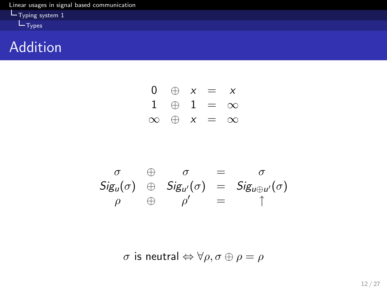

Addition

$$
\begin{array}{ccc}\n0 & \oplus & x = & x \\
1 & \oplus & 1 = & \infty \\
\infty & \oplus & x = & \infty\n\end{array}
$$

$$
\begin{array}{ccccc}\n\sigma & \oplus & \sigma & = & \sigma \\
\text{Sig}_{u}(\sigma) & \oplus & \text{Sig}_{u'}(\sigma) & = & \text{Sig}_{u \oplus u'}(\sigma) \\
\rho & \oplus & \rho' & = & \uparrow\n\end{array}
$$

σ is neutral ⇔ ∀ρ, σ ⊕ ρ = ρ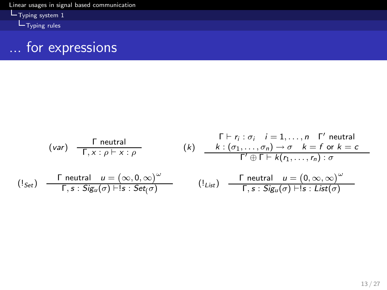[Linear usages in signal based communication](#page-0-0) Typing system 1

Typing rules



$$
(var) \frac{\Gamma \text{ neutral}}{\Gamma, x : \rho \vdash x : \rho} \qquad (k) \frac{\Gamma \vdash r_i : \sigma_i \quad i = 1, ..., n \quad \Gamma' \text{ neutral}}{k : (\sigma_1, ..., \sigma_n) \to \sigma \quad k = f \text{ or } k = c}
$$
\n
$$
(\text{I}_{Set}) \frac{\Gamma \text{ neutral}}{\Gamma, s : Sig_u(\sigma) \vdash s : Set(\sigma)} \qquad (\text{I}_{List}) \frac{\Gamma \text{ neutral}}{\Gamma, s : Sig_u(\sigma) \vdash s : List(\sigma)}
$$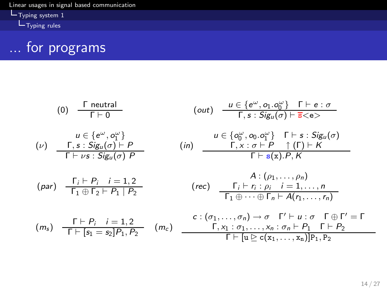[Linear usages in signal based communication](#page-0-0) Typing system 1

Typing rules



(0) 
$$
\frac{\Gamma \text{ neutral}}{\Gamma \vdash 0} \qquad (\text{out}) \quad \frac{u \in \{e^{\omega}, o_1 \ldots o_0^{\omega}\} \quad \Gamma \vdash e : \sigma}{\Gamma, s : \text{Sig}_u(\sigma) \vdash \overline{s} < e}
$$

$$
\begin{array}{lll}\n(u) & u \in \{e^{\omega}, o_1^{\omega}\} & u \in \{o_0^{\omega}, o_0 \cdot o_1^{\omega}\} & \Gamma \vdash s : Sig_u(\sigma) \\
\hline\n\Gamma \vdash \nu s : Sig_u(\sigma) & P & \Gamma \vdash s : \sigma \vdash P & \uparrow (\Gamma) \vdash K \\
\hline\n\Gamma \vdash \nu s : Sig_u(\sigma) & P & \Gamma \vdash s(x).P, K\n\end{array}
$$

$$
(par) \quad \frac{\Gamma_i \vdash P_i \quad i = 1, 2}{\Gamma_1 \oplus \Gamma_2 \vdash P_1 \mid P_2} \qquad \qquad (rec) \quad \frac{\Gamma_i \vdash r_i : \rho_i \quad i = 1, \ldots, n}{\Gamma_1 \oplus \cdots \oplus \Gamma_n \vdash A(r_1, \ldots, r_n)}
$$

(ms ) Γ ⊢ P<sup>i</sup> i = 1, 2 Γ ⊢ [s<sup>1</sup> = s2]P1, P<sup>2</sup> (mc ) c : (σ1, . . . , σn) → σ Γ ′ ⊢ u : σ Γ ⊕ Γ ′ = Γ Γ, x<sup>1</sup> : σ1, . . . , x<sup>n</sup> : σ<sup>n</sup> ⊢ P<sup>1</sup> Γ ⊢ P<sup>2</sup> Γ ⊢ [u ☎ c(x1, . . . , xn)]P1, P<sup>2</sup>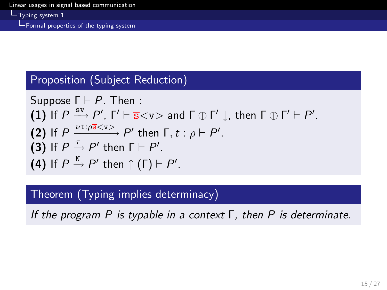L Typing system 1

Formal properties of the typing system

#### Proposition (Subject Reduction)

Suppose 
$$
\Gamma \vdash P
$$
. Then :  
\n(1) If  $P \xrightarrow{\text{sv}} P'$ ,  $\Gamma' \vdash \overline{\mathbf{s}} < \mathbf{v} >$  and  $\Gamma \oplus \Gamma' \downarrow$ , then  $\Gamma \oplus \Gamma' \vdash P'$ .  
\n(2) If  $P \xrightarrow{\nu \mathbf{t} : \rho \overline{\mathbf{s}} < \mathbf{v}} P'$  then  $\Gamma, t : \rho \vdash P'$ .  
\n(3) If  $P \xrightarrow{\tau} P'$  then  $\Gamma \vdash P'$ .  
\n(4) If  $P \xrightarrow{\mathbf{N}} P'$  then  $\uparrow (\Gamma) \vdash P'$ .

#### Theorem (Typing implies determinacy)

If the program P is typable in a context  $\Gamma$ , then P is determinate.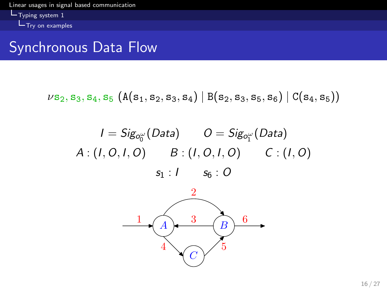[Linear usages in signal based communication](#page-0-0)  $L_{\text{Typing system 1}}$  $L_{\text{Try on examples}}$ 

#### Synchronous Data Flow

$$
\nu \mathbf{s}_2, \mathbf{s}_3, \mathbf{s}_4, \mathbf{s}_5 \,\left(A(\mathbf{s}_1, \mathbf{s}_2, \mathbf{s}_3, \mathbf{s}_4)\mid B(\mathbf{s}_2, \mathbf{s}_3, \mathbf{s}_5, \mathbf{s}_6)\mid C(\mathbf{s}_4, \mathbf{s}_5)\right)
$$

$$
I = Sig_{o_0^{\omega}}(Data) \t O = Sig_{o_1^{\omega}}(Data)
$$
  

$$
A:(I, O, I, O) \t B:(I, O, I, O) \t C:(I, O)
$$
  

$$
s_1:I \t s_6: O
$$

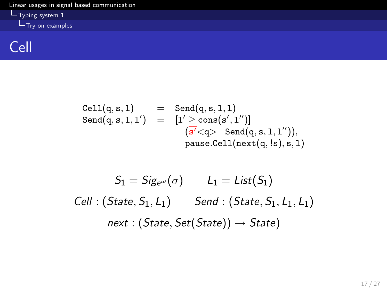[Linear usages in signal based communication](#page-0-0) Typing system 1 Try on examples

### Cell

$$
\begin{array}{lcl} \texttt{Cell}(q,s,1) & = & \texttt{Send}(q,s,1,1) \\ \texttt{Send}(q,s,1,1') & = & \big[1' \unrhd \texttt{cons}(s',1'')\big] \\ & & \big(s' < q > | \texttt{Send}(q,s,1,1'')\big), \\ & & \texttt{pause.Cell}(\texttt{next}(q,ls),s,1) \end{array}
$$

$$
S_1 = Sig_{e^{\omega}}(\sigma) \qquad L_1 = List(S_1)
$$
  
Cell : (State, S\_1, L\_1) 
$$
Send : (State, S_1, L_1, L_1)
$$
  
next : (State, Set(State))  $\rightarrow$  State)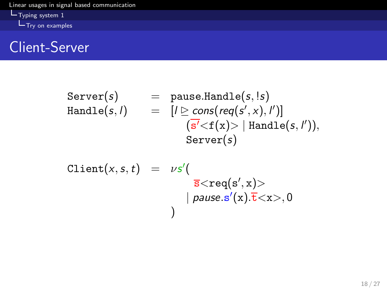[Linear usages in signal based communication](#page-0-0) Typing system 1 Try on examples

### Client-Server

$$
\begin{array}{lcl} \text{Server}(s) & = & \text{pause.Handle}(s, !s) \\ \text{Handle}(s, l) & = & [l \triangleright \text{cons}(\text{req}(s', x), l')] \\ & & (\overline{s'}{<}f(x){>} \mid \text{Handle}(s, l')), \\ & & \text{Server}(s) \end{array}
$$

$$
\begin{array}{lcl} \texttt{Client}(x,s,t) & = & \nu s' ( \\ & & \\ \hline \texttt{s}\texttt{<} \texttt{req}(s',x) \texttt{>} \\ & & | \textit{ pause.s}'(x).\overline{t} \texttt{<} x \texttt{>} , 0 \\ & & ) \end{array}
$$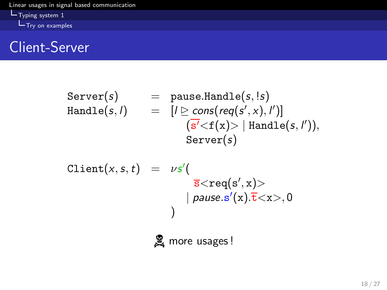[Linear usages in signal based communication](#page-0-0) **L**Typing system 1  $T_{\text{Ty}}$  on examples

### Client-Server

$$
\begin{array}{lcl} \text{Server}(s) & = & \text{pause.Handle}(s, !s) \\ \text{Handle}(s, l) & = & [l \triangleright \text{cons}(\text{req}(s', x), l')] \\ & & (\overline{s'}{<}f(x){>} \mid \text{Handle}(s, l')), \\ & & \text{Server}(s) \end{array}
$$

$$
\begin{array}{lcl} \text{Client}(x,s,t) & = & \nu s' ( \\ & & \\ & & \\ & & \overline{s} < \text{req}(s',x) > \\ & & & | \text{ pause}.s'(x).\overline{t} < x>, 0 \\ & & & \\ & & & \\ & & & \\ \end{array}
$$

**A** more usages!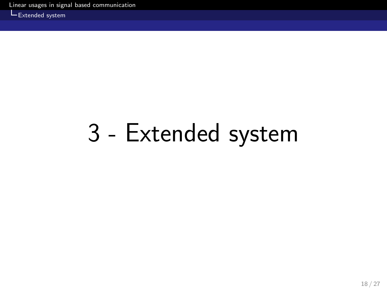Extended system

## <span id="page-26-0"></span>3 - Extended system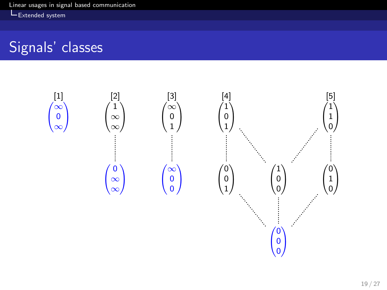LExtended system

## Signals' classes



 $\sqrt{2}$  $\overline{ }$ 0 0 0

1 A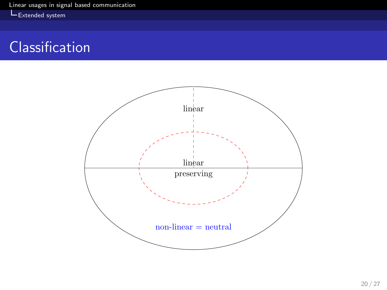Extended system

### Classification

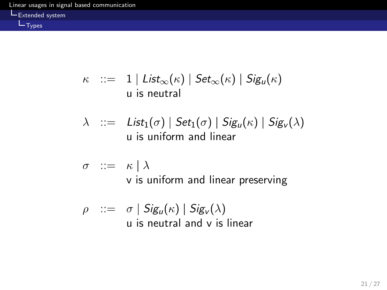Types

$$
\kappa \quad ::= \quad 1 \mid List_{\infty}(\kappa) \mid Set_{\infty}(\kappa) \mid Sig_{\iota}(\kappa) \mid
$$
   
 
$$
\text{u is neutral}
$$

$$
\lambda ::= List_1(\sigma) | Set_1(\sigma) | Sig_u(\kappa) | Sig_v(\lambda)
$$
  
u is uniform and linear

$$
\begin{array}{ll}\n\sigma & ::= & \kappa \mid \lambda \\
& \text{v is uniform and linear preserving}\n\end{array}
$$

$$
\rho ::= \sigma | Sig_u(\kappa) | Sig_v(\lambda)
$$
  
u is neutral and v is linear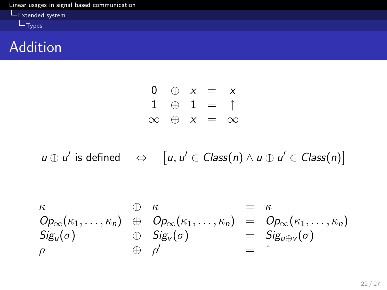

#### Addition

$$
\begin{array}{ccc}\n0 & \oplus & x = & x \\
1 & \oplus & 1 = & \uparrow \\
\infty & \oplus & x = & \infty\n\end{array}
$$

 $u \oplus u'$  is defined  $\iff$   $[u, u' \in Class(n) \land u \oplus u' \in Class(n)]$ 

$$
\begin{array}{rcl}\n\kappa & \oplus & \kappa & = & \kappa \\
Op_{\infty}(\kappa_1, \ldots, \kappa_n) & \oplus & Op_{\infty}(\kappa_1, \ldots, \kappa_n) & = & Op_{\infty}(\kappa_1, \ldots, \kappa_n) \\
\text{Sig}_u(\sigma) & \oplus & \text{Sig}_v(\sigma) & = & \text{Sig}_{u \oplus v}(\sigma) \\
\rho & \oplus & \rho' & = & \uparrow\n\end{array}
$$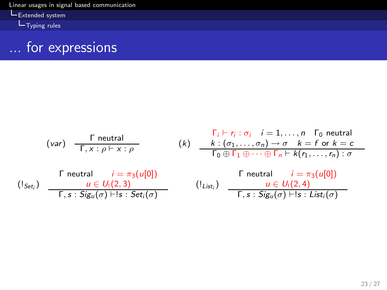[Linear usages in signal based communication](#page-0-0)

Extended system

Typing rules

## ... for expressions

$$
(var) \frac{\Gamma \text{ neutral}}{\Gamma, x : \rho \vdash x : \rho} \qquad (k) \frac{\Gamma_i \vdash r_i : \sigma_i \quad i = 1, ..., n \quad \Gamma_0 \text{ neutral}}{\Gamma_0 \oplus \Gamma_1 \oplus \cdots \oplus \Gamma_n \vdash k(r_1, ..., r_n) : \sigma}
$$
\n
$$
\Gamma \text{ neutral} \qquad i = \pi_3(u[0])
$$
\n
$$
(\Gamma_{\text{Set}_i}) \frac{u \in U_1(2,3)}{\Gamma, s : \text{Sig}_u(\sigma) \vdash s : \text{Set}_i(\sigma)} \qquad (\Gamma_{\text{List}_i}) \frac{u \in U_1(2,4)}{\Gamma, s : \text{Sig}_u(\sigma) \vdash s : \text{List}_i(\sigma)}
$$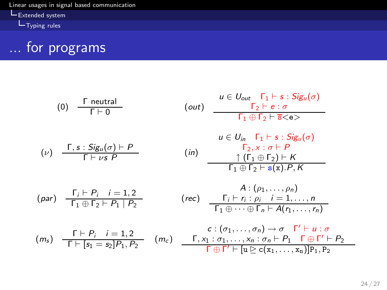[Linear usages in signal based communication](#page-0-0) Extended system

 $L_{\text{Typing rules}}$ 



(0) 
$$
\frac{\Gamma \text{ neutral}}{\Gamma + 0} \qquad \text{(out)} \qquad \frac{u \in U_{out} \quad \Gamma_1 \vdash s : Sig_u(\sigma)}{\Gamma_2 \vdash e : \sigma}
$$
  
\n
$$
\frac{u \in U_{int} \quad \Gamma_1 \vdash s : Sig_u(\sigma)}{\Gamma_1 \oplus \Gamma_2 \vdash \overline{s} < e}
$$
  
\n
$$
u \in U_{in} \quad \Gamma_1 \vdash s : Sig_u(\sigma)
$$
  
\n
$$
\frac{\Gamma_1 \vdash s : Sig_u(\sigma)}{\Gamma + \nu s \cdot P} \qquad \text{(in)} \qquad \frac{\Gamma_2 \times : \sigma \vdash P}{\Gamma_2 \times : \sigma \vdash P}
$$
  
\n
$$
\frac{\Gamma_1 \oplus \Gamma_2 \vdash K}{\Gamma_1 \oplus \Gamma_2 \vdash s(x).P, K}
$$
  
\n
$$
\frac{\Gamma_i \vdash P_i \quad i = 1, 2}{\Gamma_1 \oplus \Gamma_2 \vdash P_1 \mid P_2} \qquad \text{(rec)} \qquad \frac{\Gamma_i \vdash r_i : \rho_i \quad i = 1, ..., n}{\Gamma_1 \oplus \cdots \oplus \Gamma_n \vdash A(r_1, ..., r_n)}
$$
  
\n
$$
\frac{\Gamma \vdash P_i \quad i = 1, 2}{\Gamma \vdash [s_1 = s_2] P_1, P_2} \qquad \text{(mc)} \qquad \frac{\Gamma_i \times 1 : \sigma_1, ..., \chi_n : \sigma_n \vdash P_1 \quad \Gamma \oplus \Gamma' \vdash u : \sigma}{\Gamma \oplus \Gamma' \vdash [u \triangleright c(x_1, ..., x_n)] P_1, P_2}
$$

 $P<sub>2</sub>$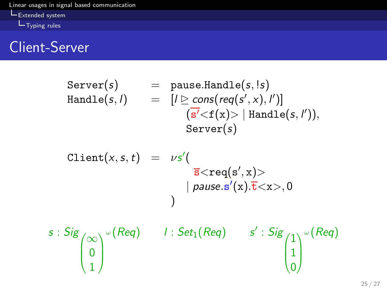

### Client-Server

$$
\begin{array}{lcl} \text{Server}(s) & = & \text{pause.Handle}(s, !s) \\ \text{Handle}(s, l) & = & [l \triangleright \text{cons}(\text{req}(s', x), l')] \\ & & (\overline{s'}{<}f(x){>} \mid \text{Handle}(s, l')), \\ & & \text{Server}(s) \end{array}
$$

$$
\begin{array}{lcl} \text{Client}(x,s,t) & = & \nu s' ( \\ & & \\ \overline{s} < \text{req}(s',x) > \\ & & | \text{ pause.s}'(x).\overline{t} < x >, 0 \\ & & ) \end{array}
$$

$$
s: Sig \begin{pmatrix} \infty \\ 0 \\ 1 \end{pmatrix} \sim (Reg) \qquad 1: Set_1(Reg) \qquad s': Sig \begin{pmatrix} 1 \\ 1 \\ 0 \end{pmatrix} \sim (Reg)
$$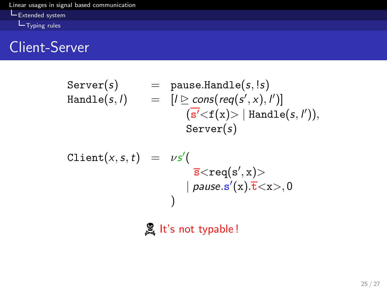

### Client-Server

$$
\begin{array}{lcl} \text{Server}(s) & = & \text{pause.Handle}(s, !s) \\ \text{Handle}(s, l) & = & [l \triangleright \text{cons}(\text{req}(s', x), l')] \\ & & (\overline{s'}{<}f(x){>} \mid \text{Handle}(s, l')), \\ & & \text{Server}(s) \end{array}
$$

$$
\begin{array}{lcl} \texttt{Client}(x,s,t) & = & \nu s' ( \\ & & \\ & & \\ & & \overline{s} < \texttt{req}(s',x) > \\ & & | \textit{ pause.s}'(x).\overline{t} < x >, 0 \\ & & ) \end{array}
$$

 $\mathbb{R}$  It's not typable !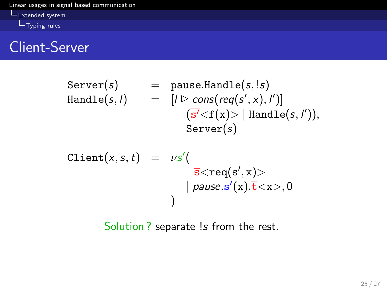

### Client-Server

$$
\begin{array}{lcl} \text{Server}(s) & = & \text{pause.Handle}(s, !s) \\ \text{Handle}(s, l) & = & [l \triangleright \text{cons}(\text{req}(s', x), l')] \\ & & (\overline{s'}{<}f(x){>} \mid \text{Handle}(s, l')), \\ & & \text{Server}(s) \end{array}
$$

Client(x,s,t) = νs ′ ( s<req(s ′ , x)> | pause.s ′ (x).t<x>, 0 )

Solution ? separate !s from the rest.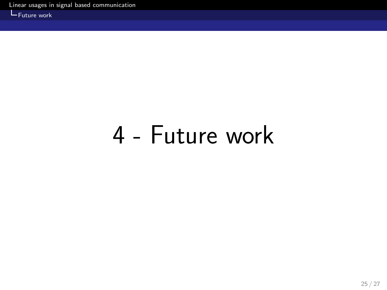**L**Future work

## <span id="page-36-0"></span>4 - Future work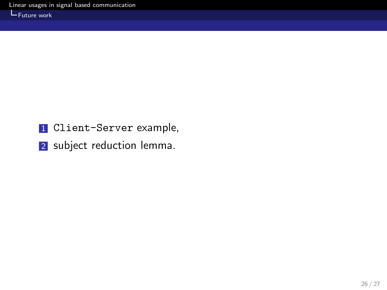L<sub>Future</sub> work

- 1 Client-Server example,
- 2 subject reduction lemma.